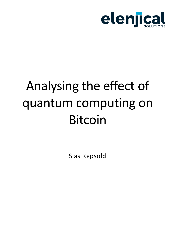

# Analysing the effect of quantum computing on Bitcoin

Sias Repsold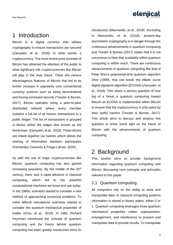

# 1 Introduction

Bitcoin is a digital currency that utilises cryptography to ensure transactions are secured (Zamyatin, et al., 2018). In other words, a cryptocurrency. The most recent price increase of Bitcoin has attracted the attention of the public to what significant role cryptocurrencies like Bitcoin will play in the near future. There are various advantageous features of Bitcoin that led to its further increase in popularity over conventional currency systems such as being decentralised and having increased security (Tessler & Byrnes, 2017). Bitcoin operates using a peer-to-peer distributed network where every member sustains a full list of all historic transactions in a public ledger. The list of transactions is grouped in blocks within the ledger also known as the blockchain (Zamyatin, et al., 2018). These blocks are linked together via hashes which allows the sharing of information between participants (Fernández-Caramés & Fraga-Lamas, 2020).

As with the rise of major cryptocurrencies like Bitcoin, quantum computing has also gained increasing popularity. By the middle of the  $20<sup>th</sup>$ century, there was a rapid advance in classical computing, which led to the powerful computational machines we know and use today. In the 1980s, scientists started to consider a new method of approaching numerical problems. To solve difficult calculations scientists started to consider the quantum mechanical properties of matter (Orús, et al., 2019). In 1982, Richard Feynman introduced the concept of quantum computing and the theory behind quantum computing has been greatly researched since its introduction (Mavroeidis, et al., 2018). According to Mavroeidis, et al. (2018), present-day asymmetric cryptography is in danger through the continuous advancements in quantum computing and Tessler & Byrnes (2017) states that it is not uncommon to hear that scalability within quantum computing is within reach. There are continuous advancements in quantum computing like that of Peter Shor's polynomial-time quantum algorithm Shor (1999), that can break the elliptic curve digital signature algorithm (ECDSA) (Zamyatin, et al., 2018). This raises a serious question of how big of a threat is quantum computing toward Bitcoin as ECDSA is implemented within Bitcoin to ensure that the cryptocurrency is only spent by their lawful owners (Tessler & Byrnes, 2017). This article aims to discuss and analyse this question to shine some light on the future of Bitcoin with the advancements of quantum computing.

# 2 Background

This section aims to provide background information regarding quantum computing and Bitcoin, discussing core concepts and principles relevant to this paper.

### 2.1 Quantum computing

All computers rely on the ability to store and manipulate data. In classical computing systems information is stored in binary states, either 0 or 1. Quantum computing leverages three quantum mechanical properties called, superposition, entanglement, and interference to present and manipulate data to provide results. To manipulate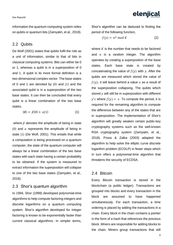information the quantum computing system relies on qubits or quantum bits (Zamyatin, et al., 2018).

#### 2.2 Qubits

De Wolf (2001) states that qubits fulfil the role as a unit of information, similar to that of bits in classical computing systems. Bits can either be 0 or 1, whereas a qubit is in a superposition of 0 and 1. A qubit in its more formal definition is a two-dimensional complex vector. The base states of 0 and 1 are denoted by |0⟩ and |1⟩ and the associated qubit is in a superposition of the two base states. It can then be concluded that every qubit is a linear combination of the two base states,

$$
|\emptyset\rangle = \beta|0\rangle + \alpha|1\rangle \tag{1}
$$

where  $\beta$  denotes the amplitude of being in state  $|0\rangle$  and  $\alpha$  represents the amplitude of being in state  $|1\rangle$  (De Wolf, 2001). This entails that while a computation is being processed on a quantum computer, the state of the quantum computer will always be a linear combination of the two base states with each state having a certain probability to be obtained. If the system is measured to extract information the superposition will collapse to one of the two base states (Zamyatin, et al., 2018).

#### 2.3 Shor's quantum algorithm

In 1994, Shor (1999) developed polynomial-time algorithms to help compute factoring integers and discrete logarithms on a quantum computing system. Shor's algorithm developed for integer factoring is known to be exponentially faster than current classical algorithms. In simpler terms, eleniical

Shor's algorithm can be deduced to finding the period of the following function,

$$
f(y) = n^y \bmod K \tag{2}
$$

where  $K$  is the number that needs to be factored and  $n$  is a random integer. The algorithm operates by creating a superposition of the base states. Each base state is created by concatenating the value of  $f(y)$  with y. After the qubits are measured which stored the value of  $f(y)$ , it will leave behind a value x as a result of the superposition collapsing. The qubits which stored  $y$  will still be in superposition with different  $y's$  where  $f(y) = x$ . To compute the period, it is required for the remaining algorithm to compute the difference between any of the states that are in superposition. The implementation of Shor's algorithm will greatly weaken certain public-key cryptography systems such as the well-known RSA cryptography system (Zamyatin, et al., 2018). Proos & Zalka (2003) adapted the algorithm to help solve the elliptic curve discrete logarithm problem (ECDLP) in fewer steps which in turn offers a polynomial-time algorithm that threatens the security of ECDSA.

#### 2.4 Bitcoin

Every Bitcoin transaction is stored in the blockchain (a public ledger). Transactions are grouped into blocks and every transaction in the block are assumed to have happened simultaneously. For each transaction, a time ordering is placed by adding the transactions in a chain. Every block in the chain contains a pointer in the form of a hash that references the previous block. Miners are responsible for adding blocks to the chain. Miners group transactions that still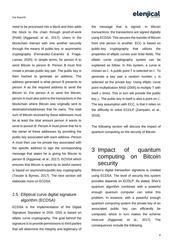#### Sias Repsold

elenjical

need to be processed into a block and then adds the block to the chain through proof-of-work (PoW) (Aggarwal, et al., 2017). Users in the blockchain interact with one another securely through the means of public-key or asymmetric cryptography (Fernández-Caramés & Fraga-Lamas, 2020). In simple terms, for person A to send Bitcoin to person B. Person B must first create a private-public key pair. The public key is then hashed to generate an address. The address generated is what person B presents to person A as the required address to send the Bitcoin to. For person A to send the Bitcoin, person A must also point to the transactions in the blockchain where Bitcoin was originally sent to destinations/addresses that he owns. The total sum of Bitcoin received by these addresses must be at least the total amount person A wants to send to person B. Person A must prove that he is the owner of these addresses by providing the public key associated with each address. Person A must then use his private key associated with the specific address to sign the corresponding message that states he is giving his Bitcoin to person B (Aggarwal, et al., 2017). ECDSA which ensures that Bitcoin is spent by its lawful owners is based on asymmetric/public-key cryptography (Tessler & Byrnes, 2017). The next section will elaborate more on ECDSA.

## 2.5 Elliptical curve digital signature algorithm (ECDSA)

ECDSA is the implementation of the Digital Signature Standard or DSS. DSS is based on elliptic curve cryptography. The goal behind the signature is to provide permissions to third parties that will determine the integrity and legitimacy of the message that is signed. In Bitcoin transactions, the transactions are signed digitally using ECDSA. This secures the transfer of Bitcoin from one person to another. ECC is based on public-key cryptography that utilizes the properties of elliptic curves over finite fields. The elliptic curve cryptography system can be explained as follow. In this system, a curve is chosen as  $C$ . A public point T is selected on  $C$ . To generate a key pair a random number  $x$  is selected as the private key. Using elliptic curve point multiplication ANSI (2005) to multiply T with itself  $x$  times. This in turn will provide the public key  $y$ . The public key in itself is also a point on  $C$ . The key assumption with ECC, is that it relies on the difficulty to solve ECDLP (Zamyatin, et al., 2018).

The following section will discuss the impact of quantum computing on the security of Bitcoin.

## 3 Impact of quantum computing on Bitcoin security

Bitcoin's digital transaction signature is created using ECDSA. The level of security this system provides depends on ECDLP. As stated, Shor's quantum algorithm combined with a powerful enough quantum computer can solve this problem. In essence, with a powerful enough quantum computing system the private key of an associated public key can efficiently be computed, which in turn makes the scheme insecure (Aggarwal, et al., 2017). The consequences include the following.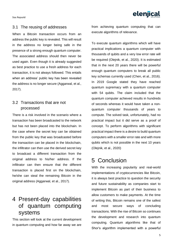Sias Repsold



## 3.1 The reusing of addresses

When a Bitcoin transaction occurs from an address the public key is revealed. This will result in the address no longer being safe in the presence of a strong enough quantum computer. The associated address should then never be used again. Even though it is already suggested as best practice to use a fresh address for each transaction, it is not always followed. This entails when an address' public key has been revealed the address is no longer secure (Aggarwal, et al., 2017).

## 3.2 Transactions that are not processed

There is a risk involved in the scenario where a transaction has been broadcasted to the network but has not been placed into the blockchain. In the case where the secret key can be obtained from the public key that was broadcasted before the transaction can be placed in the blockchain, the infiltrator can then use the derived secret key to broadcast a different transaction from the original address to his/her address. If the infiltrator can then ensure that the different transaction is placed first on the blockchain, he/she can steal the remaining Bitcoin in the original address (Aggarwal, et al., 2017).

# 4 Present-day capabilities of quantum computing systems

This section will look at the current development in quantum computing and how far away we are from achieving quantum computing that can execute algorithms of relevance.

To execute quantum algorithms which will have practical implications a quantum computer with thousands of qubits and a very low error rate will be required (Olejnik, et al., 2020). It is estimated that in the next 20 years there will be powerful enough quantum computers to break all public key schemas currently used (Chen, et al., 2016). In 2019 Google stated they have reached quantum supremacy with a quantum computer with 54 qubits. The claim included that the quantum computer achieved results in hundreds of seconds whereas it would have taken a nonquantum computer thousands of years to compute. The solved task, unfortunately, had no practical impact but it did serve as a proof of concept. To perform algorithms with significant practical impact there is a desire to build quantum computers with a smaller error rate and with more qubits which is not possible in the next 10 years (Olejnik, et al., 2020)

# 5 Conclusion

With the increasing popularity and real-world implementations of cryptocurrencies like Bitcoin, it is always best practice to question the security and future sustainability as companies start to implement Bitcoin as part of their business to allow customers to make payments. At the time of writing this, Bitcoin remains one of the safest and most secure ways of concluding transactions. With the rise of Bitcoin so continues the development and research into quantum computing. Quantum algorithms like that of Shor's algorithm implemented with a powerful